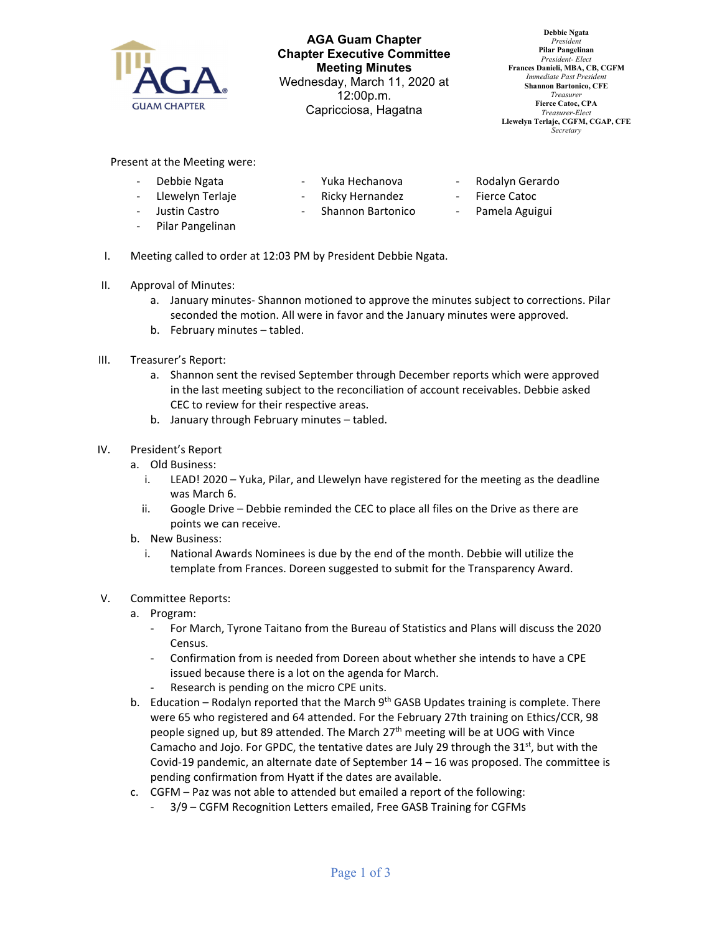

**AGA Guam Chapter Chapter Executive Committee Meeting Minutes**  Wednesday, March 11, 2020 at 12:00p.m. Capricciosa, Hagatna

**Debbie Ngata** *President*  **Pilar Pangelinan**  *President- Elect*  **Frances Danieli, MBA, CB, CGFM**  *Immediate Past Presiden* **Shannon Bartonico, CFE**  *Treasurer*  **Fierce Catoc, CPA**  *Treasurer-Elect*  **Llewelyn Terlaje, CGFM, CGAP, CFE**  *Secretary* 

Present at the Meeting were:

- ‐ Debbie Ngata
- ‐ Yuka Hechanova
- ‐ Rodalyn Gerardo

- ‐ Llewelyn Terlaje
- ‐ Ricky Hernandez
- ‐ Justin Castro
- ‐ Shannon Bartonico
- ‐ Pilar Pangelinan
- -
- ‐ Fierce Catoc
	- ‐ Pamela Aguigui
- I. Meeting called to order at 12:03 PM by President Debbie Ngata.
- II. Approval of Minutes:
	- a. January minutes-Shannon motioned to approve the minutes subject to corrections. Pilar seconded the motion. All were in favor and the January minutes were approved.
	- b. February minutes tabled.
- III. Treasurer's Report:
	- a. Shannon sent the revised September through December reports which were approved in the last meeting subject to the reconciliation of account receivables. Debbie asked CEC to review for their respective areas.
	- b. January through February minutes tabled.
- IV. President's Report
	- a. Old Business:
		- i. LEAD! 2020 Yuka, Pilar, and Llewelyn have registered for the meeting as the deadline was March 6.
		- ii. Google Drive Debbie reminded the CEC to place all files on the Drive as there are points we can receive.
	- b. New Business:
		- i. National Awards Nominees is due by the end of the month. Debbie will utilize the template from Frances. Doreen suggested to submit for the Transparency Award.
- V. Committee Reports:
	- a. Program:
		- ‐ For March, Tyrone Taitano from the Bureau of Statistics and Plans will discuss the 2020 Census.
		- ‐ Confirmation from is needed from Doreen about whether she intends to have a CPE issued because there is a lot on the agenda for March.
		- ‐ Research is pending on the micro CPE units.
	- b. Education Rodalyn reported that the March  $9<sup>th</sup>$  GASB Updates training is complete. There were 65 who registered and 64 attended. For the February 27th training on Ethics/CCR, 98 people signed up, but 89 attended. The March 27<sup>th</sup> meeting will be at UOG with Vince Camacho and Jojo. For GPDC, the tentative dates are July 29 through the  $31^{st}$ , but with the Covid-19 pandemic, an alternate date of September  $14 - 16$  was proposed. The committee is pending confirmation from Hyatt if the dates are available.
	- c. CGFM Paz was not able to attended but emailed a report of the following:
		- ‐ 3/9 CGFM Recognition Letters emailed, Free GASB Training for CGFMs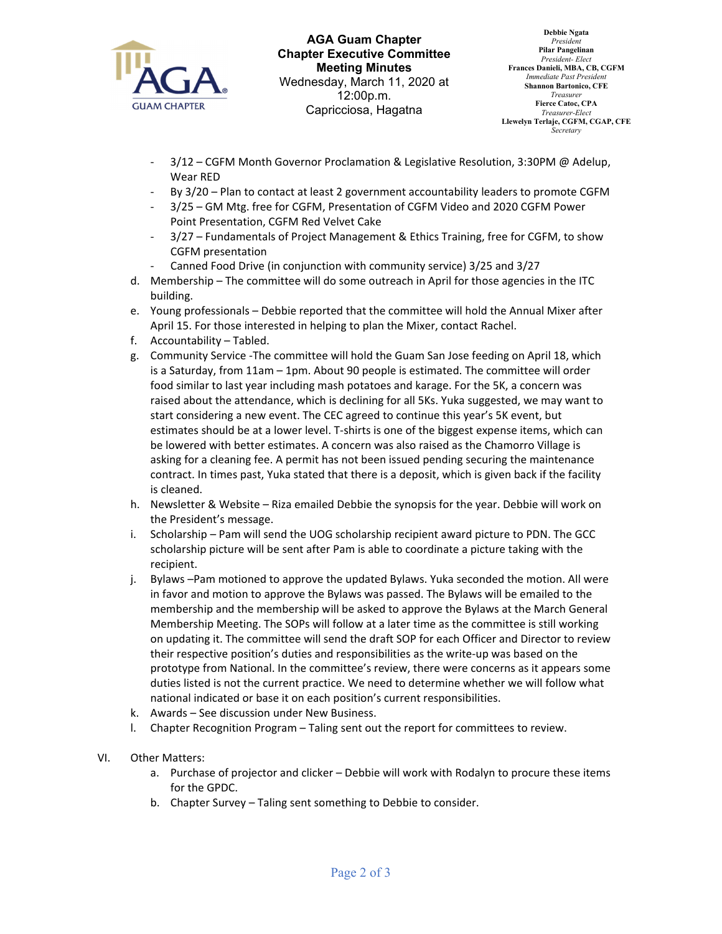

**AGA Guam Chapter Chapter Executive Committee Meeting Minutes**  Wednesday, March 11, 2020 at 12:00p.m. Capricciosa, Hagatna

**Debbie Ngata** *President*  **Pilar Pangelinan**  *President- Elect*  **Frances Danieli, MBA, CB, CGFM**  *Immediate Past Presiden* **Shannon Bartonico, CFE**  *Treasurer*  **Fierce Catoc, CPA**  *Treasurer-Elect*  **Llewelyn Terlaje, CGFM, CGAP, CFE**  *Secretary* 

- ‐ 3/12 CGFM Month Governor Proclamation & Legislative Resolution, 3:30PM @ Adelup, Wear RED
- ‐ By 3/20 Plan to contact at least 2 government accountability leaders to promote CGFM
- ‐ 3/25 GM Mtg. free for CGFM, Presentation of CGFM Video and 2020 CGFM Power Point Presentation, CGFM Red Velvet Cake
- ‐ 3/27 Fundamentals of Project Management & Ethics Training, free for CGFM, to show CGFM presentation
- ‐ Canned Food Drive (in conjunction with community service) 3/25 and 3/27
- d. Membership The committee will do some outreach in April for those agencies in the ITC building.
- e. Young professionals Debbie reported that the committee will hold the Annual Mixer after April 15. For those interested in helping to plan the Mixer, contact Rachel.
- f. Accountability Tabled.
- g. Community Service ‐The committee will hold the Guam San Jose feeding on April 18, which is a Saturday, from 11am – 1pm. About 90 people is estimated. The committee will order food similar to last year including mash potatoes and karage. For the 5K, a concern was raised about the attendance, which is declining for all 5Ks. Yuka suggested, we may want to start considering a new event. The CEC agreed to continue this year's 5K event, but estimates should be at a lower level. T‐shirts is one of the biggest expense items, which can be lowered with better estimates. A concern was also raised as the Chamorro Village is asking for a cleaning fee. A permit has not been issued pending securing the maintenance contract. In times past, Yuka stated that there is a deposit, which is given back if the facility is cleaned.
- h. Newsletter & Website Riza emailed Debbie the synopsis for the year. Debbie will work on the President's message.
- i. Scholarship Pam will send the UOG scholarship recipient award picture to PDN. The GCC scholarship picture will be sent after Pam is able to coordinate a picture taking with the recipient.
- j. Bylaws –Pam motioned to approve the updated Bylaws. Yuka seconded the motion. All were in favor and motion to approve the Bylaws was passed. The Bylaws will be emailed to the membership and the membership will be asked to approve the Bylaws at the March General Membership Meeting. The SOPs will follow at a later time as the committee is still working on updating it. The committee will send the draft SOP for each Officer and Director to review their respective position's duties and responsibilities as the write‐up was based on the prototype from National. In the committee's review, there were concerns as it appears some duties listed is not the current practice. We need to determine whether we will follow what national indicated or base it on each position's current responsibilities.
- k. Awards See discussion under New Business.
- l. Chapter Recognition Program Taling sent out the report for committees to review.
- VI. Other Matters:
	- a. Purchase of projector and clicker Debbie will work with Rodalyn to procure these items for the GPDC.
	- b. Chapter Survey Taling sent something to Debbie to consider.